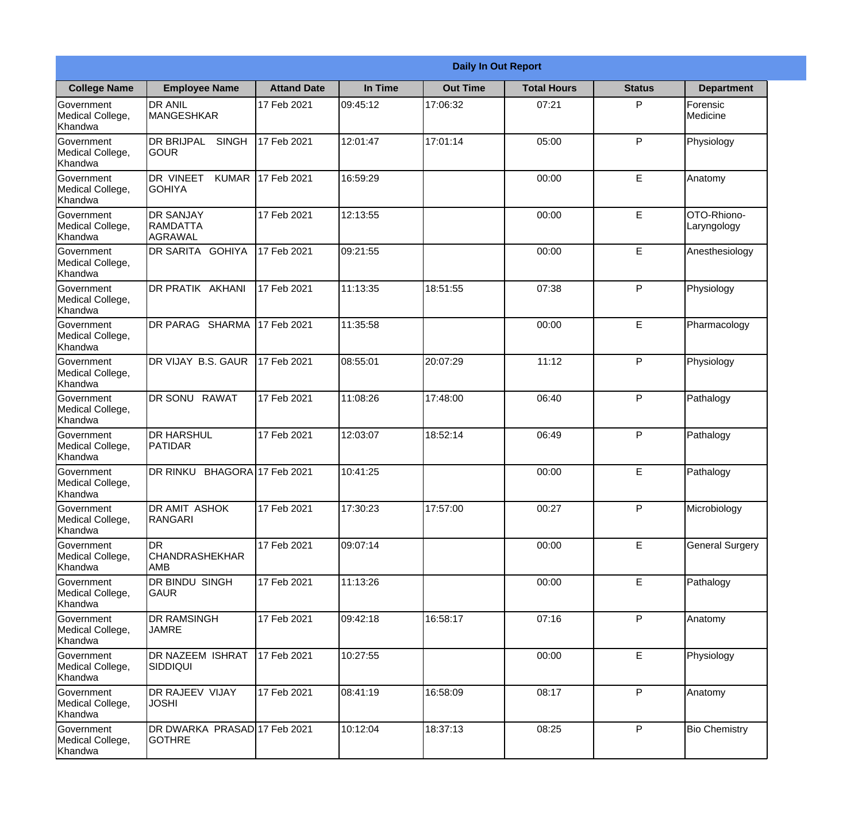|                                                  |                                                       |                     |          | <b>Daily In Out Report</b> |                    |               |                            |
|--------------------------------------------------|-------------------------------------------------------|---------------------|----------|----------------------------|--------------------|---------------|----------------------------|
| <b>College Name</b>                              | <b>Employee Name</b>                                  | <b>Attand Date</b>  | In Time  | <b>Out Time</b>            | <b>Total Hours</b> | <b>Status</b> | <b>Department</b>          |
| Government<br>Medical College,<br>Khandwa        | <b>DR ANIL</b><br><b>MANGESHKAR</b>                   | 17 Feb 2021         | 09:45:12 | 17:06:32                   | 07:21              | P             | Forensic<br>Medicine       |
| Government<br>Medical College,<br>Khandwa        | <b>DR BRIJPAL</b><br><b>SINGH</b><br> GOUR            | 17 Feb 2021         | 12:01:47 | 17:01:14                   | 05:00              | P             | Physiology                 |
| <b>Government</b><br>Medical College,<br>Khandwa | DR VINEET<br><b>KUMAR</b><br><b>I</b> GOHIYA          | 17 Feb 2021         | 16:59:29 |                            | 00:00              | E             | Anatomy                    |
| Government<br>Medical College,<br>Khandwa        | <b>DR SANJAY</b><br><b>RAMDATTA</b><br><b>AGRAWAL</b> | 17 Feb 2021         | 12:13:55 |                            | 00:00              | E             | OTO-Rhiono-<br>Laryngology |
| Government<br>Medical College,<br>Khandwa        | <b>IDR SARITA GOHIYA</b>                              | 17 Feb 2021         | 09:21:55 |                            | 00:00              | E             | Anesthesiology             |
| Government<br>Medical College,<br>Khandwa        | DR PRATIK AKHANI                                      | 17 Feb 2021         | 11:13:35 | 18:51:55                   | 07:38              | P             | Physiology                 |
| Government<br>Medical College,<br>Khandwa        | DR PARAG SHARMA                                       | 17 Feb 2021         | 11:35:58 |                            | 00:00              | E             | Pharmacology               |
| Government<br>Medical College,<br>Khandwa        | DR VIJAY B.S. GAUR                                    | 17 Feb 2021         | 08:55:01 | 20:07:29                   | 11:12              | P             | Physiology                 |
| Government<br>Medical College,<br>Khandwa        | <b>DR SONU RAWAT</b>                                  | 17 Feb 2021         | 11:08:26 | 17:48:00                   | 06:40              | P             | Pathalogy                  |
| Government<br>Medical College,<br>Khandwa        | <b>DR HARSHUL</b><br>PATIDAR                          | 17 Feb 2021         | 12:03:07 | 18:52:14                   | 06:49              | P             | Pathalogy                  |
| Government<br>Medical College,<br>Khandwa        | <b>DR RINKU</b>                                       | BHAGORA 17 Feb 2021 | 10:41:25 |                            | 00:00              | E             | Pathalogy                  |
| Government<br>Medical College,<br>Khandwa        | <b>DR AMIT ASHOK</b><br>RANGARI                       | 17 Feb 2021         | 17:30:23 | 17:57:00                   | 00:27              | P             | Microbiology               |
| Government<br>Medical College,<br>Khandwa        | IDR.<br><b>CHANDRASHEKHAR</b><br>AMB                  | 17 Feb 2021         | 09:07:14 |                            | 00:00              | E             | <b>General Surgery</b>     |
| Government<br>Medical College,<br>Khandwa        | DR BINDU SINGH<br><b>GAUR</b>                         | 17 Feb 2021         | 11:13:26 |                            | 00:00              | E             | Pathalogy                  |
| Government<br>Medical College,<br>Khandwa        | <b>DR RAMSINGH</b><br><b>JAMRE</b>                    | 17 Feb 2021         | 09:42:18 | 16:58:17                   | 07:16              | $\mathsf{P}$  | Anatomy                    |
| Government<br>Medical College,<br>Khandwa        | <b>DR NAZEEM ISHRAT</b><br>SIDDIQUI                   | 17 Feb 2021         | 10:27:55 |                            | 00:00              | $\mathsf E$   | Physiology                 |
| Government<br>Medical College,<br>Khandwa        | <b>DR RAJEEV VIJAY</b><br><b>JOSHI</b>                | 17 Feb 2021         | 08:41:19 | 16:58:09                   | 08:17              | P             | Anatomy                    |
| Government<br>Medical College,<br>Khandwa        | DR DWARKA PRASAD 17 Feb 2021<br><b>GOTHRE</b>         |                     | 10:12:04 | 18:37:13                   | 08:25              | P             | <b>Bio Chemistry</b>       |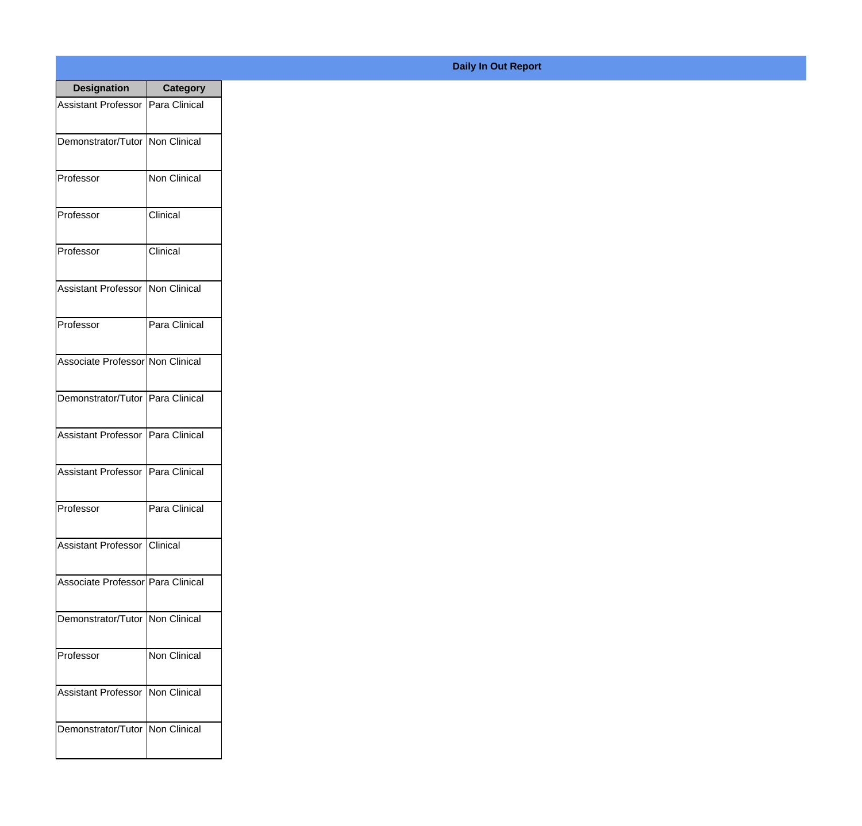| <b>Designation</b>                 | <b>Category</b>     |
|------------------------------------|---------------------|
| <b>Assistant Professor</b>         | Para Clinical       |
| Demonstrator/Tutor   Non Clinical  |                     |
| Professor                          | <b>Non Clinical</b> |
| Professor                          | Clinical            |
| Professor                          | Clinical            |
| Assistant Professor                | <b>Non Clinical</b> |
| Professor                          | Para Clinical       |
| Associate Professor Non Clinical   |                     |
| Demonstrator/Tutor   Para Clinical |                     |
| Assistant Professor                | Para Clinical       |
| <b>Assistant Professor</b>         | Para Clinical       |
| Professor                          | Para Clinical       |
| Assistant Professor   Clinical     |                     |
| Associate Professor Para Clinical  |                     |
| Demonstrator/Tutor   Non Clinical  |                     |
| Professor                          | Non Clinical        |
| <b>Assistant Professor</b>         | Non Clinical        |
| Demonstrator/Tutor   Non Clinical  |                     |

**Daily In Out Report**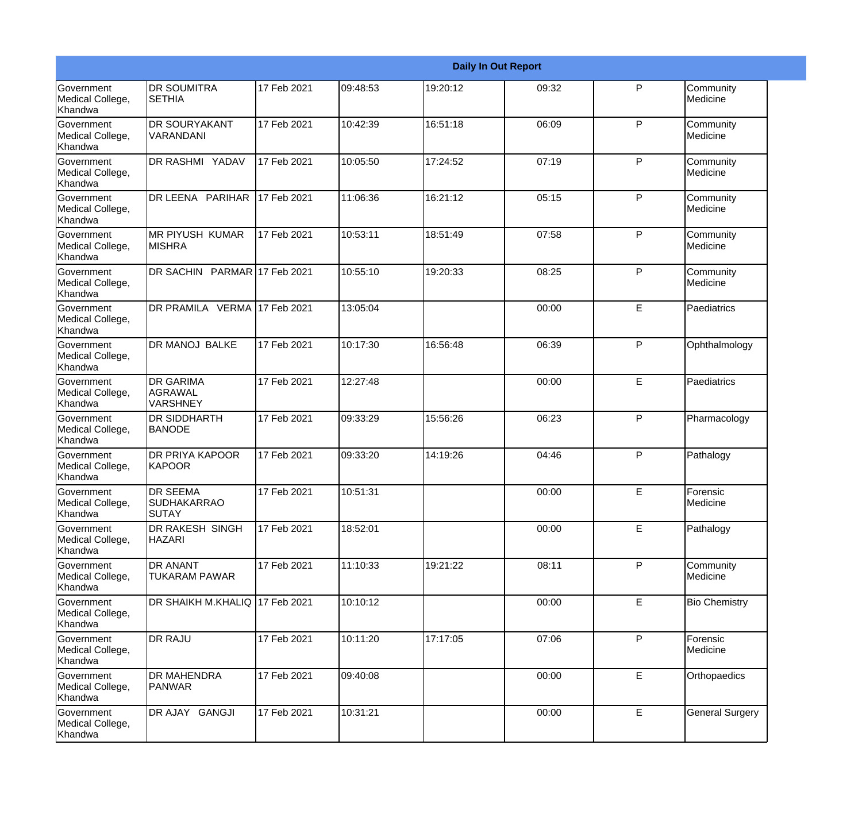|                                                  |                                                |             |          |          | <b>Daily In Out Report</b> |              |                        |
|--------------------------------------------------|------------------------------------------------|-------------|----------|----------|----------------------------|--------------|------------------------|
| <b>Government</b><br>Medical College,<br>Khandwa | <b>DR SOUMITRA</b><br><b>SETHIA</b>            | 17 Feb 2021 | 09:48:53 | 19:20:12 | 09:32                      | P            | Community<br>Medicine  |
| Government<br>Medical College,<br>Khandwa        | DR SOURYAKANT<br>VARANDANI                     | 17 Feb 2021 | 10:42:39 | 16:51:18 | 06:09                      | $\mathsf{P}$ | Community<br>Medicine  |
| <b>Government</b><br>Medical College,<br>Khandwa | DR RASHMI YADAV                                | 17 Feb 2021 | 10:05:50 | 17:24:52 | 07:19                      | P            | Community<br>Medicine  |
| <b>Government</b><br>Medical College,<br>Khandwa | DR LEENA PARIHAR                               | 17 Feb 2021 | 11:06:36 | 16:21:12 | 05:15                      | $\mathsf{P}$ | Community<br>Medicine  |
| Government<br>Medical College,<br>Khandwa        | <b>MR PIYUSH KUMAR</b><br><b>MISHRA</b>        | 17 Feb 2021 | 10:53:11 | 18:51:49 | 07:58                      | $\mathsf{P}$ | Community<br>Medicine  |
| Government<br>Medical College,<br><b>Khandwa</b> | DR SACHIN PARMAR 17 Feb 2021                   |             | 10:55:10 | 19:20:33 | 08:25                      | $\mathsf{P}$ | Community<br>Medicine  |
| <b>Government</b><br>Medical College,<br>Khandwa | DR PRAMILA VERMA 17 Feb 2021                   |             | 13:05:04 |          | 00:00                      | E            | Paediatrics            |
| Government<br>Medical College,<br>Khandwa        | DR MANOJ BALKE                                 | 17 Feb 2021 | 10:17:30 | 16:56:48 | 06:39                      | $\mathsf{P}$ | Ophthalmology          |
| <b>Government</b><br>Medical College,<br>Khandwa | <b>DR GARIMA</b><br>AGRAWAL<br>VARSHNEY        | 17 Feb 2021 | 12:27:48 |          | 00:00                      | E            | Paediatrics            |
| Government<br>Medical College,<br>Khandwa        | DR SIDDHARTH<br><b>BANODE</b>                  | 17 Feb 2021 | 09:33:29 | 15:56:26 | 06:23                      | $\mathsf{P}$ | Pharmacology           |
| <b>Government</b><br>Medical College,<br>Khandwa | <b>DR PRIYA KAPOOR</b><br>KAPOOR               | 17 Feb 2021 | 09:33:20 | 14:19:26 | 04:46                      | P            | Pathalogy              |
| Government<br>Medical College,<br>Khandwa        | <b>DR SEEMA</b><br><b>SUDHAKARRAO</b><br>SUTAY | 17 Feb 2021 | 10:51:31 |          | 00:00                      | E            | Forensic<br>Medicine   |
| Government<br>Medical College,<br>Khandwa        | DR RAKESH SINGH<br><b>HAZARI</b>               | 17 Feb 2021 | 18:52:01 |          | 00:00                      | E            | Pathalogy              |
| <b>Government</b><br>Medical College,<br>Khandwa | DR ANANT<br><b>TUKARAM PAWAR</b>               | 17 Feb 2021 | 11:10:33 | 19:21:22 | 08:11                      | P            | Community<br>Medicine  |
| Government<br>Medical College,<br>Khandwa        | DR SHAIKH M.KHALIQ 17 Feb 2021                 |             | 10:10:12 |          | 00:00                      | E            | <b>Bio Chemistry</b>   |
| Government<br>Medical College,<br>Khandwa        | <b>DR RAJU</b>                                 | 17 Feb 2021 | 10:11:20 | 17:17:05 | 07:06                      | $\mathsf{P}$ | Forensic<br>Medicine   |
| Government<br>Medical College,<br>Khandwa        | DR MAHENDRA<br>PANWAR                          | 17 Feb 2021 | 09:40:08 |          | 00:00                      | E            | Orthopaedics           |
| Government<br>Medical College,<br>Khandwa        | DR AJAY GANGJI                                 | 17 Feb 2021 | 10:31:21 |          | 00:00                      | E            | <b>General Surgery</b> |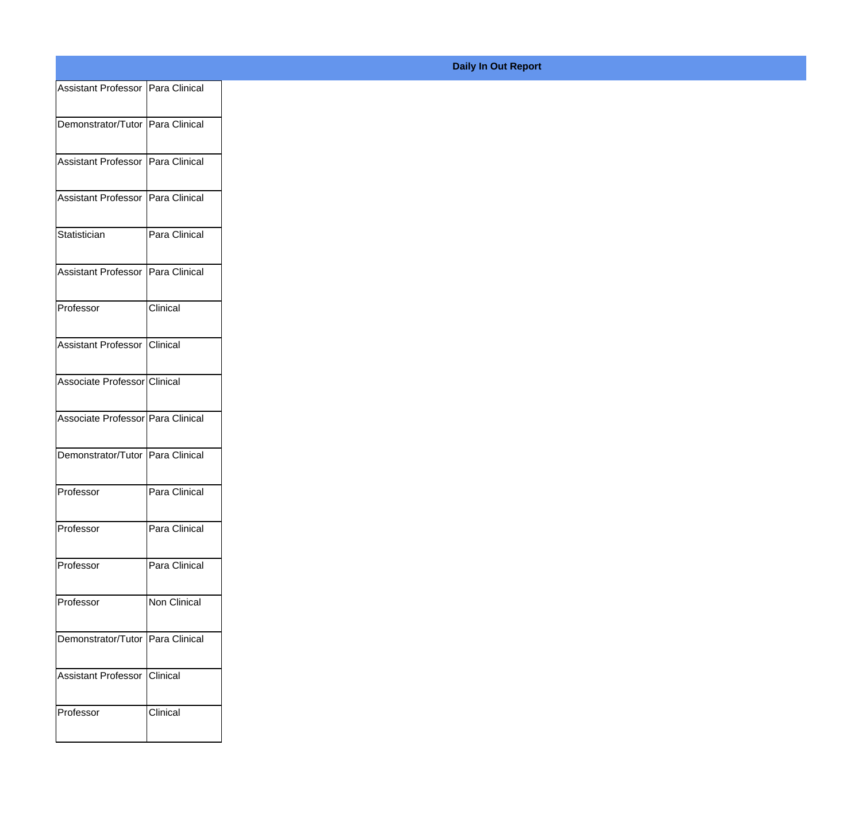| Assistant Professor   Para Clinical |               |
|-------------------------------------|---------------|
| Demonstrator/Tutor Para Clinical    |               |
|                                     |               |
| Assistant Professor Para Clinical   |               |
| Assistant Professor   Para Clinical |               |
|                                     |               |
| Statistician                        | Para Clinical |
| Assistant Professor   Para Clinical |               |
|                                     |               |
| Professor                           | Clinical      |
| Assistant Professor                 | Clinical      |
|                                     |               |
| Associate Professor Clinical        |               |
| Associate Professor Para Clinical   |               |
| Demonstrator/Tutor   Para Clinical  |               |
|                                     |               |
| Professor                           | Para Clinical |
| Professor                           | Para Clinical |
|                                     |               |
| Professor                           | Para Clinical |
| Professor                           | Non Clinical  |
|                                     |               |
| Demonstrator/Tutor   Para Clinical  |               |
| Assistant Professor                 | Clinical      |
| Professor                           | Clinical      |
|                                     |               |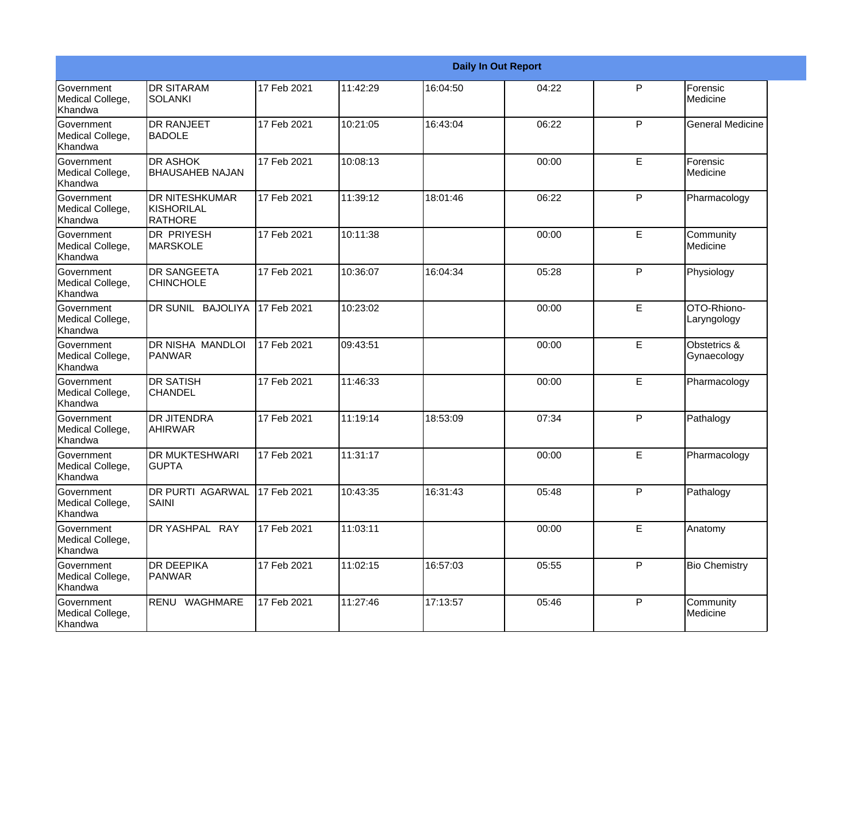|                                                  |                                                       |             |          |          | <b>Daily In Out Report</b> |             |                             |
|--------------------------------------------------|-------------------------------------------------------|-------------|----------|----------|----------------------------|-------------|-----------------------------|
| <b>Government</b><br>Medical College,<br>Khandwa | <b>DR SITARAM</b><br><b>SOLANKI</b>                   | 17 Feb 2021 | 11:42:29 | 16:04:50 | 04:22                      | P           | Forensic<br>Medicine        |
| Government<br>Medical College,<br>Khandwa        | <b>DR RANJEET</b><br><b>BADOLE</b>                    | 17 Feb 2021 | 10:21:05 | 16:43:04 | 06:22                      | P           | <b>General Medicine</b>     |
| <b>Government</b><br>Medical College,<br>Khandwa | <b>DR ASHOK</b><br><b>BHAUSAHEB NAJAN</b>             | 17 Feb 2021 | 10:08:13 |          | 00:00                      | E           | Forensic<br>Medicine        |
| Government<br>Medical College,<br>Khandwa        | <b>DR NITESHKUMAR</b><br>KISHORILAL<br><b>RATHORE</b> | 17 Feb 2021 | 11:39:12 | 18:01:46 | 06:22                      | P           | Pharmacology                |
| Government<br>Medical College,<br>Khandwa        | <b>DR PRIYESH</b><br><b>MARSKOLE</b>                  | 17 Feb 2021 | 10:11:38 |          | 00:00                      | E           | Community<br>Medicine       |
| Government<br>Medical College,<br>Khandwa        | <b>DR SANGEETA</b><br><b>CHINCHOLE</b>                | 17 Feb 2021 | 10:36:07 | 16:04:34 | 05:28                      | P           | Physiology                  |
| <b>Government</b><br>Medical College,<br>Khandwa | DR SUNIL BAJOLIYA                                     | 17 Feb 2021 | 10:23:02 |          | 00:00                      | E           | OTO-Rhiono-<br>Laryngology  |
| Government<br>Medical College,<br>Khandwa        | DR NISHA MANDLOI<br><b>PANWAR</b>                     | 17 Feb 2021 | 09:43:51 |          | 00:00                      | E           | Obstetrics &<br>Gynaecology |
| Government<br>Medical College,<br>Khandwa        | <b>DR SATISH</b><br><b>CHANDEL</b>                    | 17 Feb 2021 | 11:46:33 |          | 00:00                      | E           | Pharmacology                |
| Government<br>Medical College,<br>Khandwa        | <b>DR JITENDRA</b><br><b>AHIRWAR</b>                  | 17 Feb 2021 | 11:19:14 | 18:53:09 | 07:34                      | P           | Pathalogy                   |
| <b>Government</b><br>Medical College,<br>Khandwa | <b>DR MUKTESHWARI</b><br><b>GUPTA</b>                 | 17 Feb 2021 | 11:31:17 |          | 00:00                      | E           | Pharmacology                |
| Government<br>Medical College,<br>Khandwa        | <b>DR PURTI AGARWAL</b><br>SAINI                      | 17 Feb 2021 | 10:43:35 | 16:31:43 | 05:48                      | P           | Pathalogy                   |
| Government<br>Medical College,<br>Khandwa        | DR YASHPAL RAY                                        | 17 Feb 2021 | 11:03:11 |          | 00:00                      | $\mathsf E$ | Anatomy                     |
| Government<br>Medical College,<br>Khandwa        | <b>DR DEEPIKA</b><br>PANWAR                           | 17 Feb 2021 | 11:02:15 | 16:57:03 | 05:55                      | P           | <b>Bio Chemistry</b>        |
| Government<br>Medical College,<br>Khandwa        | RENU WAGHMARE                                         | 17 Feb 2021 | 11:27:46 | 17:13:57 | 05:46                      | P           | Community<br>Medicine       |